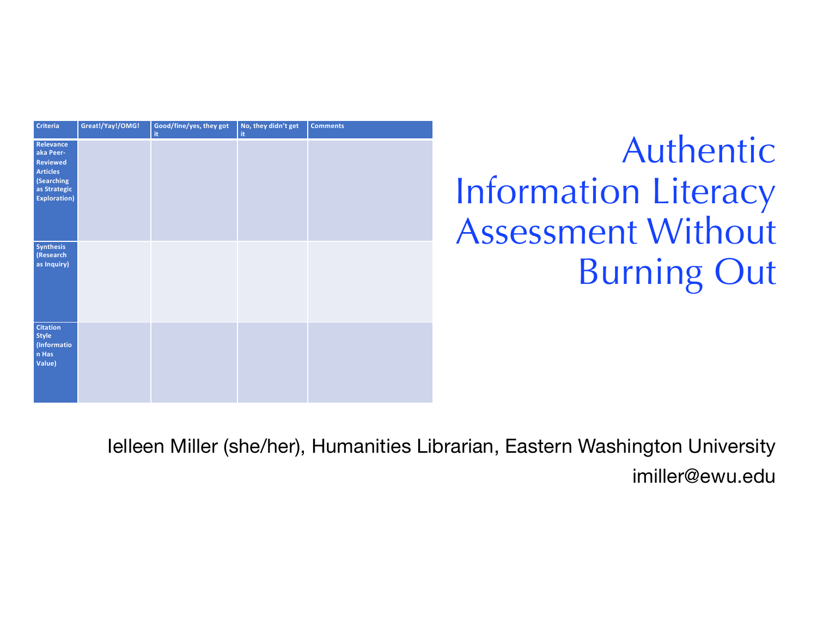| Criteria                                                                                                           | Great!/Yay!/OMG! | Good/fine/yes, they got<br>it. | No, they didn't get<br>it. | <b>Comments</b> |
|--------------------------------------------------------------------------------------------------------------------|------------------|--------------------------------|----------------------------|-----------------|
| Relevance<br>aka Peer-<br><b>Reviewed</b><br><b>Articles</b><br>(Searching<br>as Strategic<br><b>Exploration</b> ) |                  |                                |                            |                 |
| Synthesis<br>(Research<br>as Inquiry)                                                                              |                  |                                |                            |                 |
| <b>Citation</b><br>Style<br>(Informatio<br>n Has<br>Value)                                                         |                  |                                |                            |                 |

# Authentic Information Literacy Assessment Without Burning Out

Ielleen Miller (she/her), Humanities Librarian, Eastern Washington University imiller@ewu.edu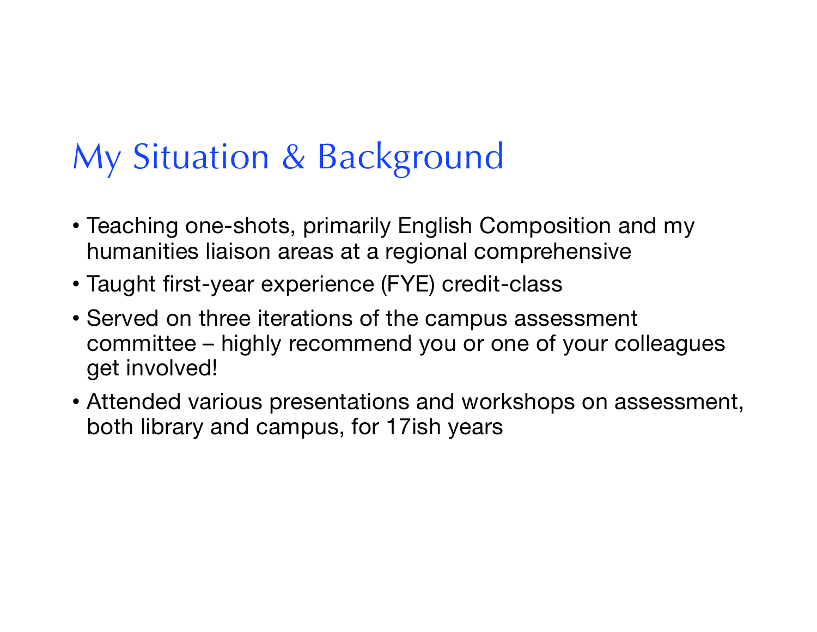# My Situation & Background

- Teaching one-shots, primarily English Composition and my humanities liaison areas at a regional comprehensive
- Taught first-year experience (FYE) credit-class
- Served on three iterations of the campus assessment committee – highly recommend you or one of your colleagues get involved!
- Attended various presentations and workshops on assessment, both library and campus, for 17ish years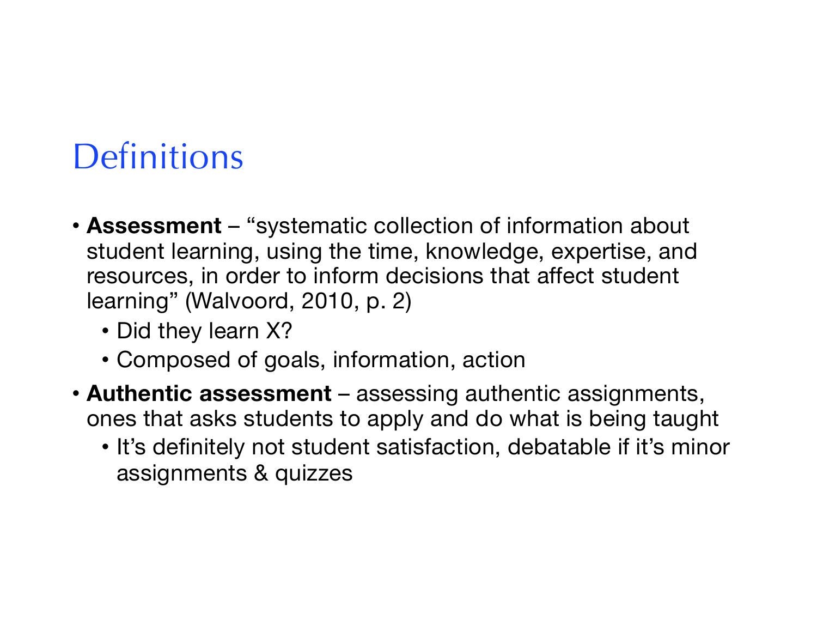# **Definitions**

- **Assessment** "systematic collection of information about student learning, using the time, knowledge, expertise, and resources, in order to inform decisions that affect student learning" (Walvoord, 2010, p. 2)
	- Did they learn X?
	- Composed of goals, information, action
- **Authentic assessment**  assessing authentic assignments, ones that asks students to apply and do what is being taught
	- It's definitely not student satisfaction, debatable if it's minor assignments & quizzes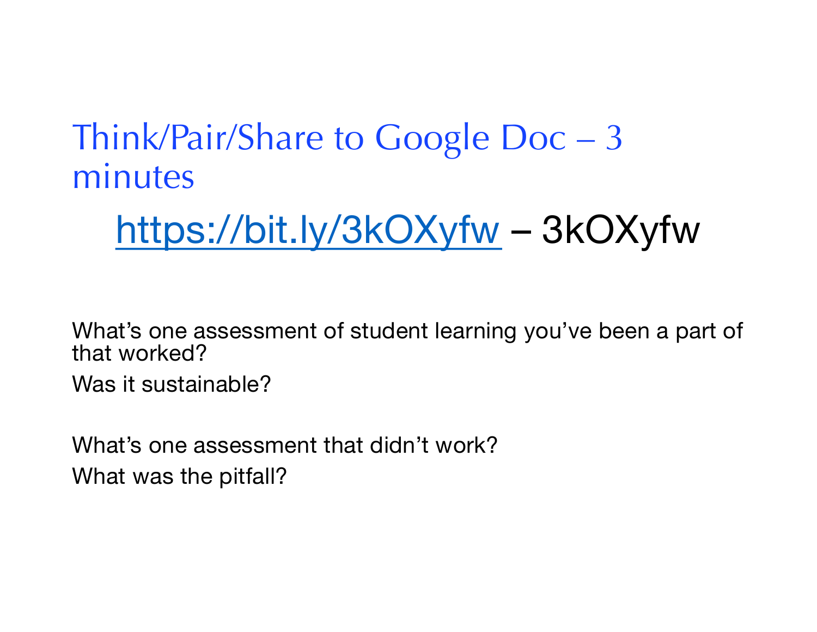## Think/Pair/Share to Google Doc – 3 minutes

# <https://bit.ly/3kOXyfw> – 3kOXyfw

What's one assessment of student learning you've been a part of that worked?

Was it sustainable?

What's one assessment that didn't work? What was the pitfall?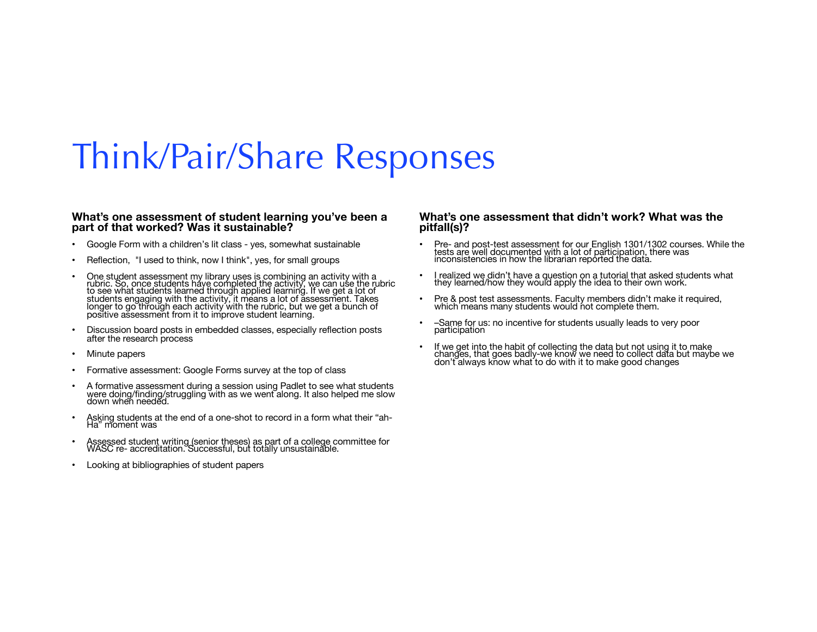### Think/Pair/Share Responses

#### **What's one assessment of student learning you've been a part of that worked? Was it sustainable?**

- Google Form with a children's lit class yes, somewhat sustainable
- Reflection, "I used to think, now I think", yes, for small groups
- One student assessment my library uses is combining an activity with a rubric. So, once students have completed the activity, we can use the rubric to see what students learned through applied learning. If we get a lot o positive assessment from it to improve student learning.
- Discussion board posts in embedded classes, especially reflection posts after the research process
- Minute papers
- Formative assessment: Google Forms survey at the top of class
- A formative assessment during a session using Padlet to see what students were doing/finding/struggling with as we went along. It also helped me slow down when needed.
- Asking students at the end of a one-shot to record in a form what their "ah- Ha" moment was
- Assessed student writing (senior theses) as part of a college committee for WASC re- accreditation. Successful, but totally unsustainable.
- Looking at bibliographies of student papers

#### **What's one assessment that didn't work? What was the pitfall(s)?**

- Pre- and post-test assessment for our English 1301/1302 courses. While the tests are well documented with a lot of participation, there was inconsistencies in how the librarian reported the data.
- I realized we didn't have a question on a tutorial that asked students what they learned/how they would apply the idea to their own work.
- Pre & post test assessments. Faculty members didn't make it required, which means many students would not complete them.
- –Same for us: no incentive for students usually leads to very poor participation
- If we get into the habit of collecting the data but not using it to make changes, that goes badly-we know we need to collect data but maybe we don't always know what to do with it to make good changes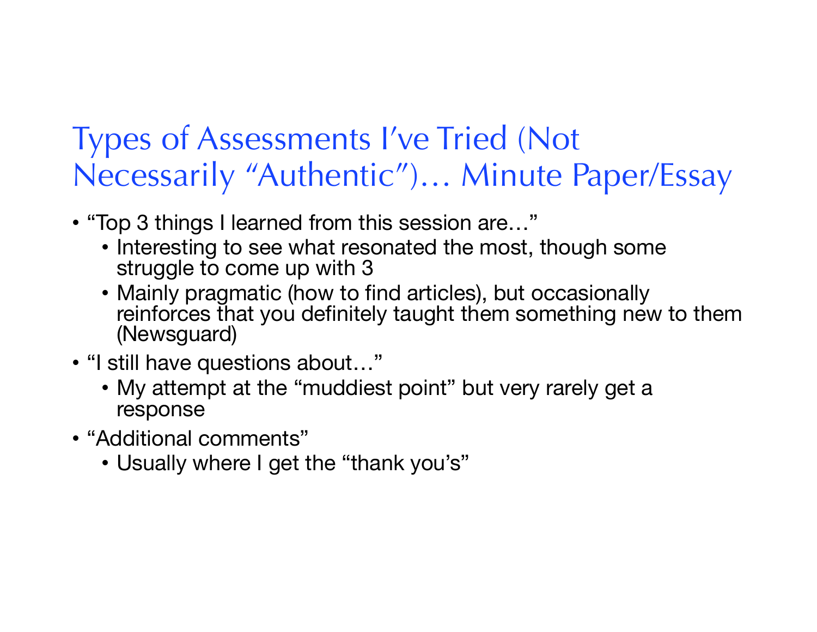#### Types of Assessments I've Tried (Not Necessarily "Authentic")… Minute Paper/Essay

- "Top 3 things I learned from this session are…"
	- Interesting to see what resonated the most, though some struggle to come up with 3
	- Mainly pragmatic (how to find articles), but occasionally reinforces that you definitely taught them something new to them (Newsguard)
- "I still have questions about…"
	- My attempt at the "muddiest point" but very rarely get a response
- "Additional comments"
	- Usually where I get the "thank you's"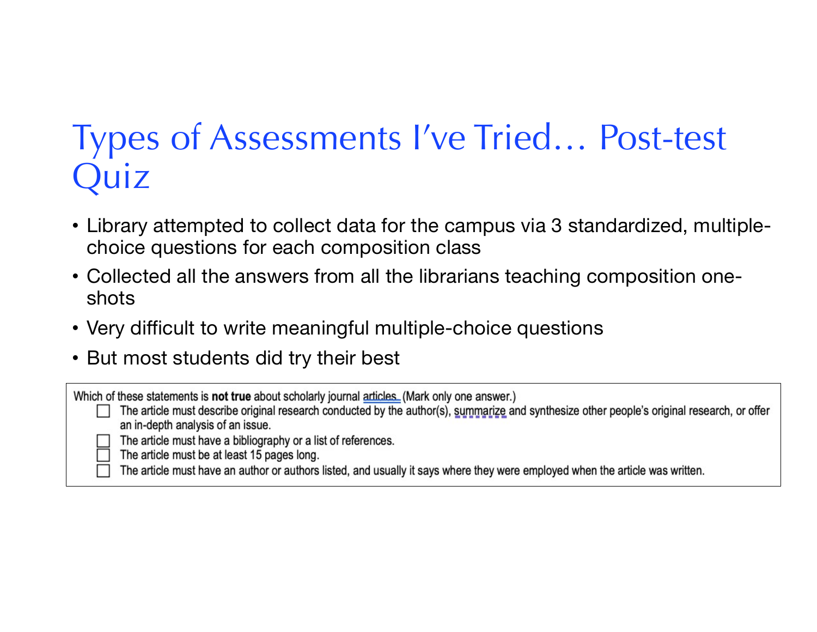# Types of Assessments I've Tried… Post-test Quiz

- Library attempted to collect data for the campus via 3 standardized, multiplechoice questions for each composition class
- Collected all the answers from all the librarians teaching composition oneshots
- Very difficult to write meaningful multiple-choice questions
- But most students did try their best

Which of these statements is not true about scholarly journal articles. (Mark only one answer.)

The article must describe original research conducted by the author(s), summarize and synthesize other people's original research, or offer  $\Box$ an in-depth analysis of an issue.

The article must have a bibliography or a list of references.

The article must be at least 15 pages long.

The article must have an author or authors listed, and usually it says where they were employed when the article was written.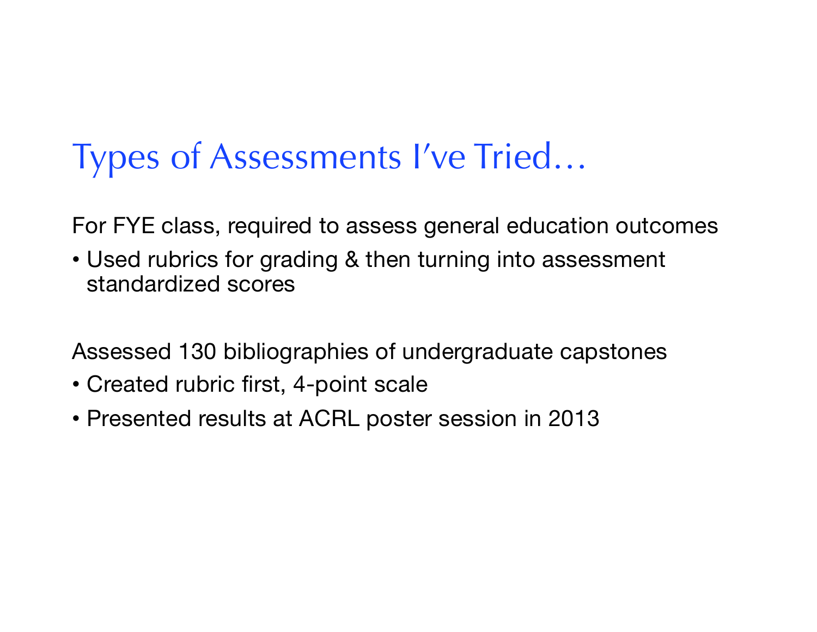# Types of Assessments I've Tried…

For FYE class, required to assess general education outcomes

• Used rubrics for grading & then turning into assessment standardized scores

Assessed 130 bibliographies of undergraduate capstones

- Created rubric first, 4-point scale
- Presented results at ACRL poster session in 2013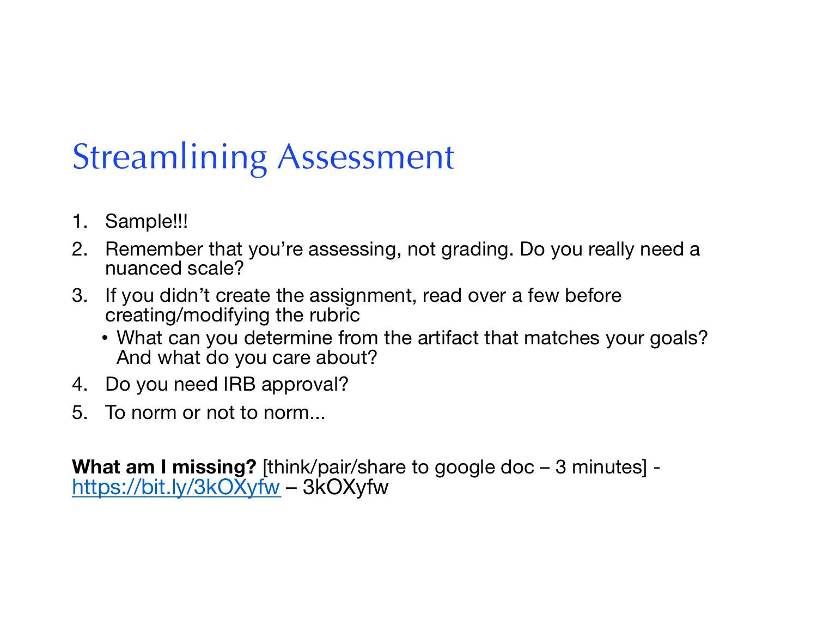# Streamlining Assessment

- 1. Sample!!!
- 2. Remember that you're assessing, not grading. Do you really need a nuanced scale?
- 3. If you didn't create the assignment, read over a few before creating/modifying the rubric
	- What can you determine from the artifact that matches your goals? And what do you care about?
- 4. Do you need IRB approval?
- 5. To norm or not to norm...

**What am I missing?** [think/pair/share to google doc – 3 minutes] <https://bit.ly/3kOXyfw> – 3kOXyfw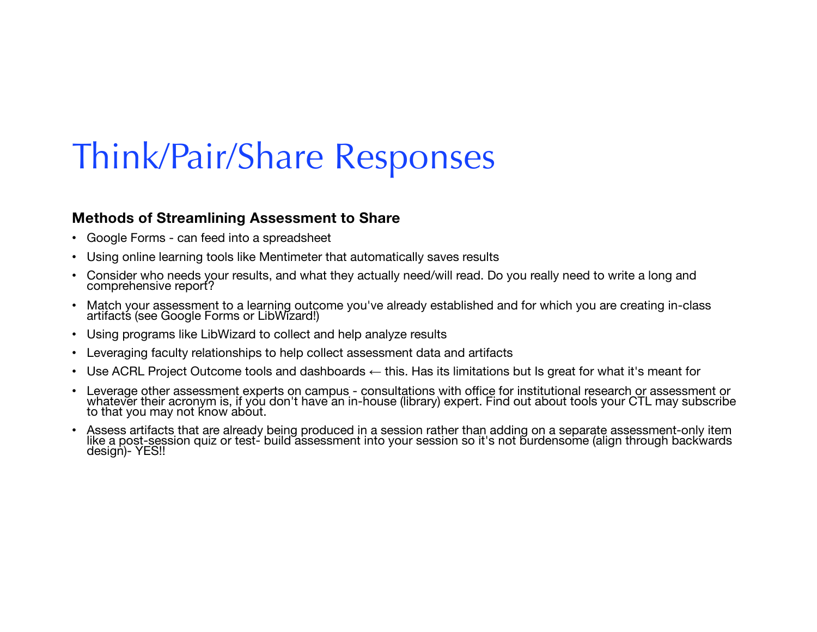## Think/Pair/Share Responses

#### **Methods of Streamlining Assessment to Share**

- Google Forms can feed into a spreadsheet
- Using online learning tools like Mentimeter that automatically saves results
- Consider who needs your results, and what they actually need/will read. Do you really need to write a long and comprehensive report?
- Match your assessment to a learning outcome you've already established and for which you are creating in-class artifacts (see Google Forms or LibWizard!)
- Using programs like LibWizard to collect and help analyze results
- Leveraging faculty relationships to help collect assessment data and artifacts
- Use ACRL Project Outcome tools and dashboards ← this. Has its limitations but Is great for what it's meant for
- Leverage other assessment experts on campus consultations with office for institutional research or assessment or whatever their acronym is, if you don't have an in-house (library) expert. Find out about tools your CTL may subscribe<br>to that you may not know about.
- Assess artifacts that are already being produced in a session rather than adding on a separate assessment-only item<br>like a post-session quiz or test- build assessment into your session so it's not burdensome (align throu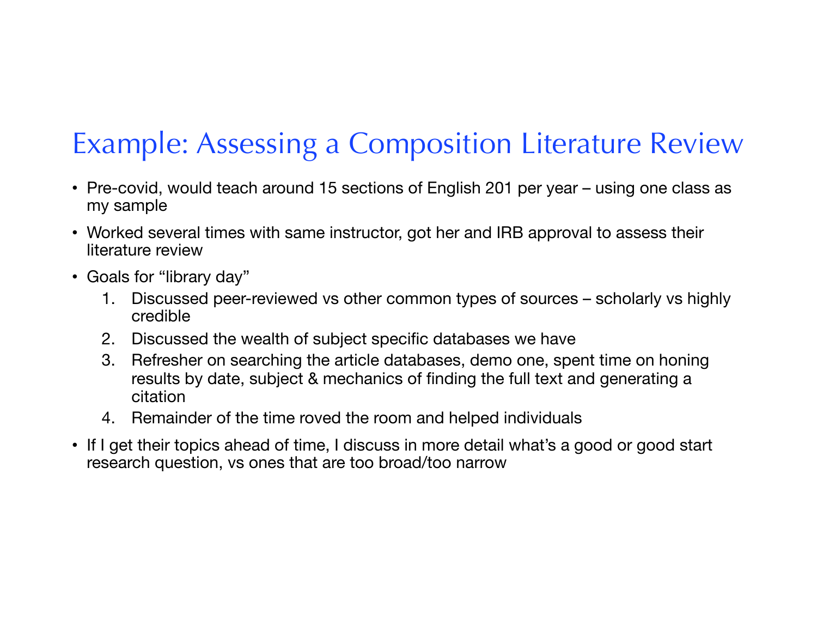#### Example: Assessing a Composition Literature Review

- Pre-covid, would teach around 15 sections of English 201 per year using one class as my sample
- Worked several times with same instructor, got her and IRB approval to assess their literature review
- Goals for "library day"
	- 1. Discussed peer-reviewed vs other common types of sources scholarly vs highly credible
	- 2. Discussed the wealth of subject specific databases we have
	- 3. Refresher on searching the article databases, demo one, spent time on honing results by date, subject & mechanics of finding the full text and generating a citation
	- 4. Remainder of the time roved the room and helped individuals
- If I get their topics ahead of time, I discuss in more detail what's a good or good start research question, vs ones that are too broad/too narrow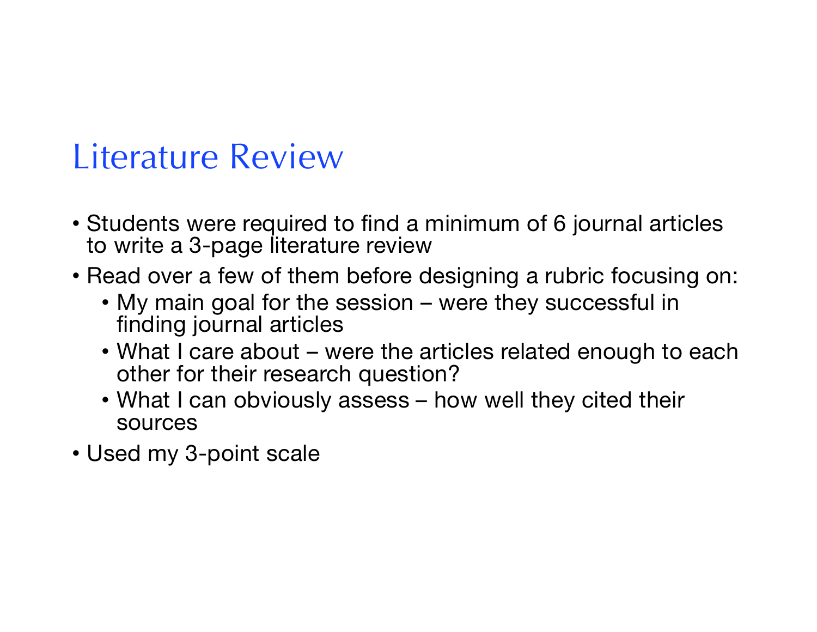#### Literature Review

- Students were required to find a minimum of 6 journal articles to write a 3-page literature review
- Read over a few of them before designing a rubric focusing on:
	- My main goal for the session were they successful in finding journal articles
	- What I care about were the articles related enough to each other for their research question?
	- What I can obviously assess how well they cited their sources
- Used my 3-point scale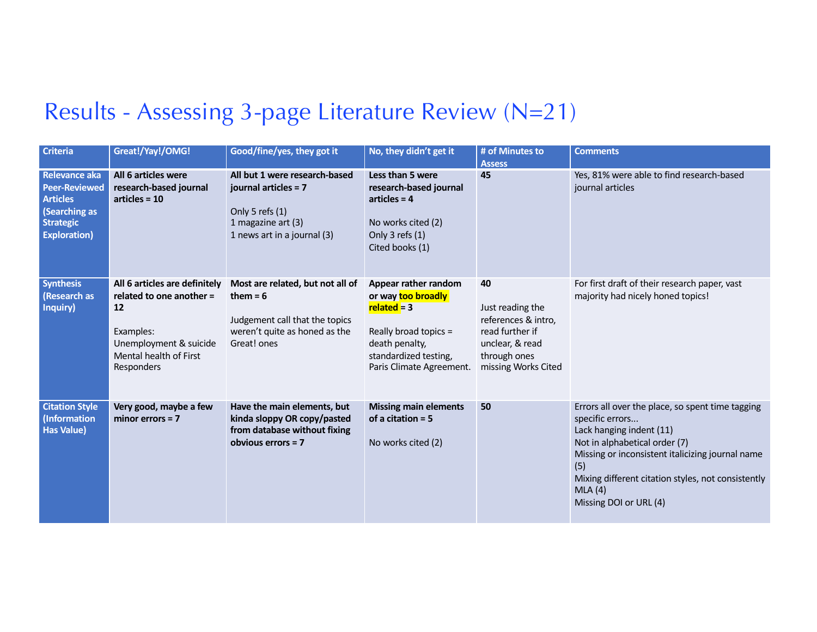#### Results - Assessing 3-page Literature Review (N=21)

| <b>Criteria</b>                                                                                                      | Great!/Yay!/OMG!                                                                                                                               | Good/fine/yes, they got it                                                                                                       | No, they didn't get it                                                                                                                                      | # of Minutes to<br><b>Assess</b>                                                                                           | <b>Comments</b>                                                                                                                                                                                                                                                                       |
|----------------------------------------------------------------------------------------------------------------------|------------------------------------------------------------------------------------------------------------------------------------------------|----------------------------------------------------------------------------------------------------------------------------------|-------------------------------------------------------------------------------------------------------------------------------------------------------------|----------------------------------------------------------------------------------------------------------------------------|---------------------------------------------------------------------------------------------------------------------------------------------------------------------------------------------------------------------------------------------------------------------------------------|
| Relevance aka<br><b>Peer-Reviewed</b><br><b>Articles</b><br>(Searching as<br><b>Strategic</b><br><b>Exploration)</b> | All 6 articles were<br>research-based journal<br>$articles = 10$                                                                               | All but 1 were research-based<br>journal articles = 7<br>Only 5 refs (1)<br>1 magazine art (3)<br>1 news art in a journal (3)    | Less than 5 were<br>research-based journal<br>$articles = 4$<br>No works cited (2)<br>Only 3 refs (1)<br>Cited books (1)                                    | 45                                                                                                                         | Yes, 81% were able to find research-based<br>journal articles                                                                                                                                                                                                                         |
| <b>Synthesis</b><br>(Research as<br>Inquiry)                                                                         | All 6 articles are definitely<br>related to one another =<br>12<br>Examples:<br>Unemployment & suicide<br>Mental health of First<br>Responders | Most are related, but not all of<br>them = $6$<br>Judgement call that the topics<br>weren't quite as honed as the<br>Great! ones | Appear rather random<br>or way too broadly<br>$related = 3$<br>Really broad topics =<br>death penalty,<br>standardized testing,<br>Paris Climate Agreement. | 40<br>Just reading the<br>references & intro,<br>read further if<br>unclear, & read<br>through ones<br>missing Works Cited | For first draft of their research paper, vast<br>majority had nicely honed topics!                                                                                                                                                                                                    |
| <b>Citation Style</b><br>(Information<br><b>Has Value)</b>                                                           | Very good, maybe a few<br>minor errors $= 7$                                                                                                   | Have the main elements, but<br>kinda sloppy OR copy/pasted<br>from database without fixing<br>obvious errors $= 7$               | <b>Missing main elements</b><br>of a citation $= 5$<br>No works cited (2)                                                                                   | 50                                                                                                                         | Errors all over the place, so spent time tagging<br>specific errors<br>Lack hanging indent (11)<br>Not in alphabetical order (7)<br>Missing or inconsistent italicizing journal name<br>(5)<br>Mixing different citation styles, not consistently<br>MLA(4)<br>Missing DOI or URL (4) |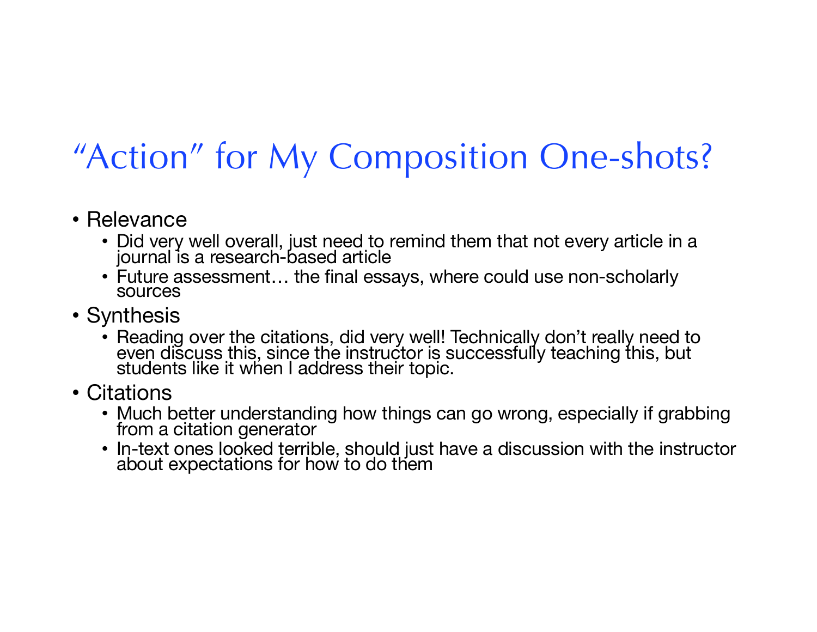# "Action" for My Composition One-shots?

- Relevance
	- Did very well overall, just need to remind them that not every article in a journal is a research-based article
	- Future assessment… the final essays, where could use non-scholarly sources
- Synthesis
	- Reading over the citations, did very well! Technically don't really need to even discuss this, since the instructor is successfully teaching this, but students like it when I address their topic.
- Citations
	- Much better understanding how things can go wrong, especially if grabbing from a citation generator
	- In-text ones looked terrible, should just have a discussion with the instructor about expectations for how to do them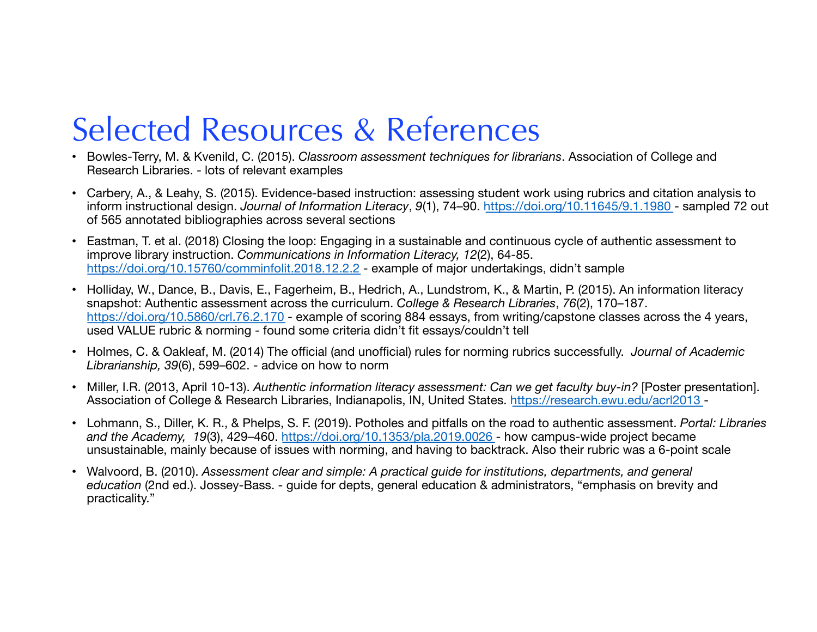### Selected Resources & References

- Bowles-Terry, M. & Kvenild, C. (2015). *Classroom assessment techniques for librarians*. Association of College and Research Libraries. - lots of relevant examples
- Carbery, A., & Leahy, S. (2015). Evidence-based instruction: assessing student work using rubrics and citation analysis to inform instructional design. *Journal of Information Literacy*, *9*(1), 74–9[0. https://doi.org/10.11645/9.1.198](https://doi.org/10.11645/9.1.1980)0 - sampled 72 out of 565 annotated bibliographies across several sections
- Eastman, T. et al. (2018) Closing the loop: Engaging in a sustainable and continuous cycle of authentic assessment to improve library instruction. *Communications in Information Literacy, 12*(2), 64-85. [https://doi.org/10.15760/comminfolit.2018.12.2.](https://doi.org/10.15760/comminfolit.2018.12.2.2)2 - example of major undertakings, didn't sample
- Holliday, W., Dance, B., Davis, E., Fagerheim, B., Hedrich, A., Lundstrom, K., & Martin, P. (2015). An information literacy snapshot: Authentic assessment across the curriculum. *College & Research Libraries*, *76*(2), 170–187. [https://doi.org/10.5860/crl.76.2.17](https://doi.org/10.5860/crl.76.2.170)0 - example of scoring 884 essays, from writing/capstone classes across the 4 years, used VALUE rubric & norming - found some criteria didn't fit essays/couldn't tell
- Holmes, C. & Oakleaf, M. (2014) The official (and unofficial) rules for norming rubrics successfully. *Journal of Academic Librarianship, 39*(6), 599–602. - advice on how to norm
- Miller, I.R. (2013, April 10-13). *Authentic information literacy assessment: Can we get faculty buy-in?* [Poster presentation]. Association of College & Research Libraries, Indianapolis, IN, United State[s. https://research.ewu.edu/acrl201](https://research.ewu.edu/acrl2013)3 -
- Lohmann, S., Diller, K. R., & Phelps, S. F. (2019). Potholes and pitfalls on the road to authentic assessment. *Portal: Libraries*  and the Academy, 19(3), 429–46[0. https://doi.org/10.1353/pla.2019.002](https://doi.org/10.1353/pla.2019.0026)6 - how campus-wide project became unsustainable, mainly because of issues with norming, and having to backtrack. Also their rubric was a 6-point scale
- Walvoord, B. (2010). *Assessment clear and simple: A practical guide for institutions, departments, and general education* (2nd ed.). Jossey-Bass. - guide for depts, general education & administrators, "emphasis on brevity and practicality."